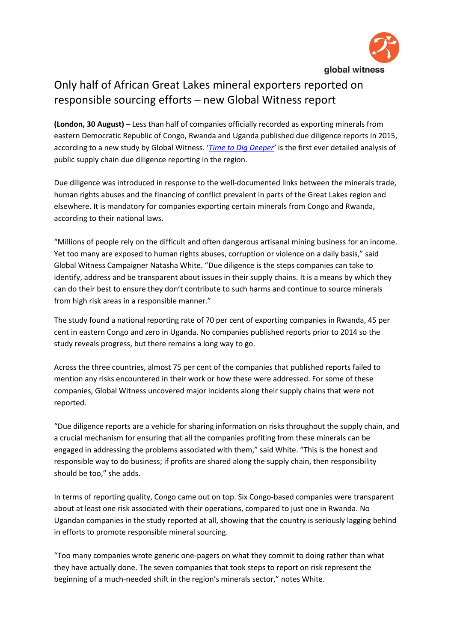

## Only half of African Great Lakes mineral exporters reported on responsible sourcing efforts – new Global Witness report

**(London, 30 August) –** Less than half of companies officially recorded as exporting minerals from eastern Democratic Republic of Congo, Rwanda and Uganda published due diligence reports in 2015, according to a new study by Global Witness. '*[Time to Dig Deeper](https://www.globalwitness.org/en/campaigns/democratic-republic-congo/time-dig-deeper/)'* is the first ever detailed analysis of public supply chain due diligence reporting in the region.

Due diligence was introduced in response to the well-documented links between the minerals trade, human rights abuses and the financing of conflict prevalent in parts of the Great Lakes region and elsewhere. It is mandatory for companies exporting certain minerals from Congo and Rwanda, according to their national laws.

"Millions of people rely on the difficult and often dangerous artisanal mining business for an income. Yet too many are exposed to human rights abuses, corruption or violence on a daily basis," said Global Witness Campaigner Natasha White. "Due diligence is the steps companies can take to identify, address and be transparent about issues in their supply chains. It is a means by which they can do their best to ensure they don't contribute to such harms and continue to source minerals from high risk areas in a responsible manner."

The study found a national reporting rate of 70 per cent of exporting companies in Rwanda, 45 per cent in eastern Congo and zero in Uganda. No companies published reports prior to 2014 so the study reveals progress, but there remains a long way to go.

Across the three countries, almost 75 per cent of the companies that published reports failed to mention any risks encountered in their work or how these were addressed. For some of these companies, Global Witness uncovered major incidents along their supply chains that were not reported.

"Due diligence reports are a vehicle for sharing information on risks throughout the supply chain, and a crucial mechanism for ensuring that all the companies profiting from these minerals can be engaged in addressing the problems associated with them," said White. "This is the honest and responsible way to do business; if profits are shared along the supply chain, then responsibility should be too," she adds.

In terms of reporting quality, Congo came out on top. Six Congo-based companies were transparent about at least one risk associated with their operations, compared to just one in Rwanda. No Ugandan companies in the study reported at all, showing that the country is seriously lagging behind in efforts to promote responsible mineral sourcing.

"Too many companies wrote generic one-pagers on what they commit to doing rather than what they have actually done. The seven companies that took steps to report on risk represent the beginning of a much-needed shift in the region's minerals sector," notes White.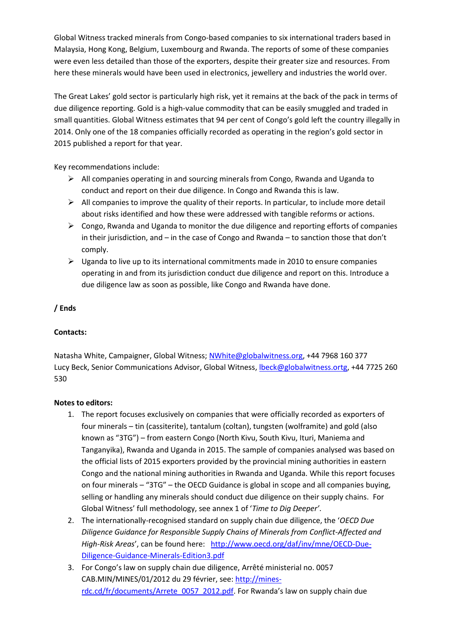Global Witness tracked minerals from Congo-based companies to six international traders based in Malaysia, Hong Kong, Belgium, Luxembourg and Rwanda. The reports of some of these companies were even less detailed than those of the exporters, despite their greater size and resources. From here these minerals would have been used in electronics, jewellery and industries the world over.

The Great Lakes' gold sector is particularly high risk, yet it remains at the back of the pack in terms of due diligence reporting. Gold is a high-value commodity that can be easily smuggled and traded in small quantities. Global Witness estimates that 94 per cent of Congo's gold left the country illegally in 2014. Only one of the 18 companies officially recorded as operating in the region's gold sector in 2015 published a report for that year.

Key recommendations include:

- $\triangleright$  All companies operating in and sourcing minerals from Congo, Rwanda and Uganda to conduct and report on their due diligence. In Congo and Rwanda this is law.
- $\triangleright$  All companies to improve the quality of their reports. In particular, to include more detail about risks identified and how these were addressed with tangible reforms or actions.
- $\triangleright$  Congo, Rwanda and Uganda to monitor the due diligence and reporting efforts of companies in their jurisdiction, and – in the case of Congo and Rwanda – to sanction those that don't comply.
- $\triangleright$  Uganda to live up to its international commitments made in 2010 to ensure companies operating in and from its jurisdiction conduct due diligence and report on this. Introduce a due diligence law as soon as possible, like Congo and Rwanda have done.

## **/ Ends**

## **Contacts:**

Natasha White, Campaigner, Global Witness; [NWhite@globalwitness.org,](mailto:NWhite@globalwitness.org) +44 7968 160 377 Lucy Beck, Senior Communications Advisor, Global Witness, [lbeck@globalwitness.ortg,](mailto:lbeck@globalwitness.ortg) +44 7725 260 530

## **Notes to editors:**

- 1. The report focuses exclusively on companies that were officially recorded as exporters of four minerals – tin (cassiterite), tantalum (coltan), tungsten (wolframite) and gold (also known as "3TG") – from eastern Congo (North Kivu, South Kivu, Ituri, Maniema and Tanganyika), Rwanda and Uganda in 2015. The sample of companies analysed was based on the official lists of 2015 exporters provided by the provincial mining authorities in eastern Congo and the national mining authorities in Rwanda and Uganda. While this report focuses on four minerals – "3TG" – the OECD Guidance is global in scope and all companies buying, selling or handling any minerals should conduct due diligence on their supply chains. For Global Witness' full methodology, see annex 1 of '*Time to Dig Deeper'*.
- 2. The internationally-recognised standard on supply chain due diligence, the '*OECD Due Diligence Guidance for Responsible Supply Chains of Minerals from Conflict-Affected and High-Risk Areas*', can be found here: [http://www.oecd.org/daf/inv/mne/OECD-Due-](http://www.oecd.org/daf/inv/mne/OECD-Due-Diligence-Guidance-Minerals-Edition3.pdf)[Diligence-Guidance-Minerals-Edition3.pdf](http://www.oecd.org/daf/inv/mne/OECD-Due-Diligence-Guidance-Minerals-Edition3.pdf)
- 3. For Congo's law on supply chain due diligence, Arrêté ministerial no. 0057 CAB.MIN/MINES/01/2012 du 29 février, see[: http://mines](http://mines-rdc.cd/fr/documents/Arrete_0057_2012.pdf)[rdc.cd/fr/documents/Arrete\\_0057\\_2012.pdf](http://mines-rdc.cd/fr/documents/Arrete_0057_2012.pdf). For Rwanda's law on supply chain due